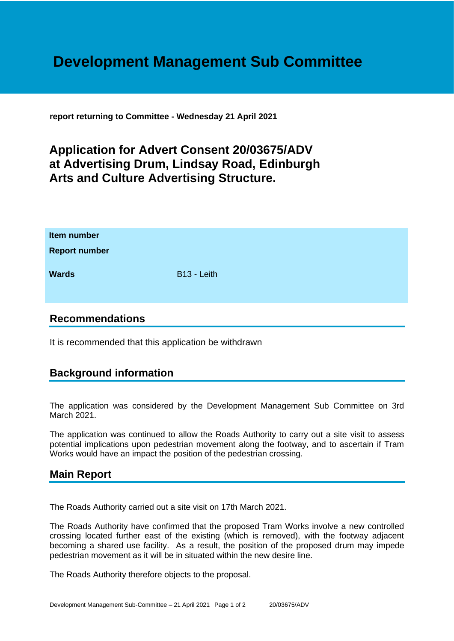# **Development Management Sub Committee**

**report returning to Committee - Wednesday 21 April 2021**

## **Application for Advert Consent 20/03675/ADV at Advertising Drum, Lindsay Road, Edinburgh Arts and Culture Advertising Structure.**

| Item number<br><b>Report number</b> |             |
|-------------------------------------|-------------|
| <b>Wards</b>                        | B13 - Leith |

#### **Recommendations**

It is recommended that this application be withdrawn

### **Background information**

The application was considered by the Development Management Sub Committee on 3rd March 2021.

The application was continued to allow the Roads Authority to carry out a site visit to assess potential implications upon pedestrian movement along the footway, and to ascertain if Tram Works would have an impact the position of the pedestrian crossing.

#### **Main Report**

The Roads Authority carried out a site visit on 17th March 2021.

The Roads Authority have confirmed that the proposed Tram Works involve a new controlled crossing located further east of the existing (which is removed), with the footway adjacent becoming a shared use facility. As a result, the position of the proposed drum may impede pedestrian movement as it will be in situated within the new desire line.

The Roads Authority therefore objects to the proposal.